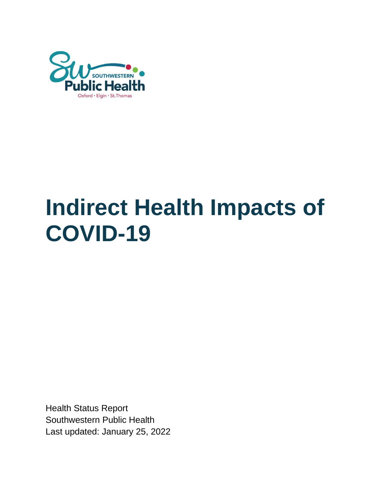

# **Indirect Health Impacts of COVID-19**

Health Status Report Southwestern Public Health Last updated: January 25, 2022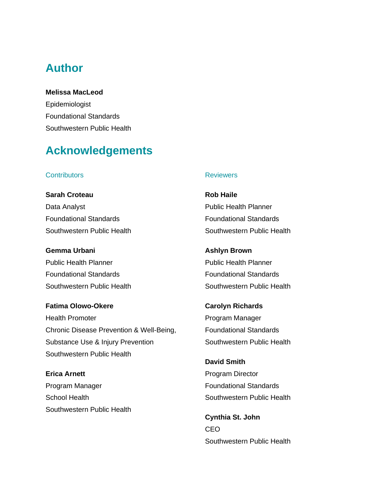# **Author**

**Melissa MacLeod** Epidemiologist Foundational Standards Southwestern Public Health

# **Acknowledgements**

#### **Contributors**

**Sarah Croteau** Data Analyst Foundational Standards Southwestern Public Health

**Gemma Urbani** Public Health Planner Foundational Standards Southwestern Public Health

**Fatima Olowo-Okere** Health Promoter Chronic Disease Prevention & Well-Being, Substance Use & Injury Prevention Southwestern Public Health

**Erica Arnett** Program Manager School Health Southwestern Public Health

#### **Reviewers**

**Rob Haile** Public Health Planner Foundational Standards Southwestern Public Health

**Ashlyn Brown** Public Health Planner Foundational Standards Southwestern Public Health

**Carolyn Richards** Program Manager Foundational Standards Southwestern Public Health

**David Smith** Program Director Foundational Standards Southwestern Public Health

**Cynthia St. John** CEO Southwestern Public Health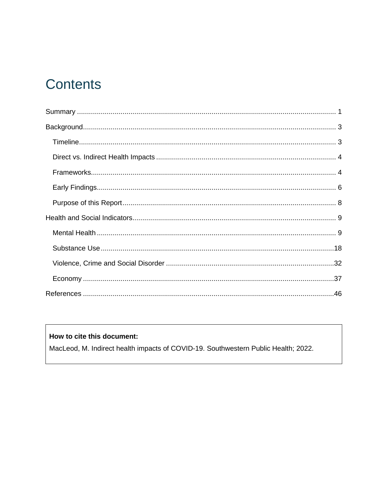# **Contents**

#### How to cite this document:

MacLeod, M. Indirect health impacts of COVID-19. Southwestern Public Health; 2022.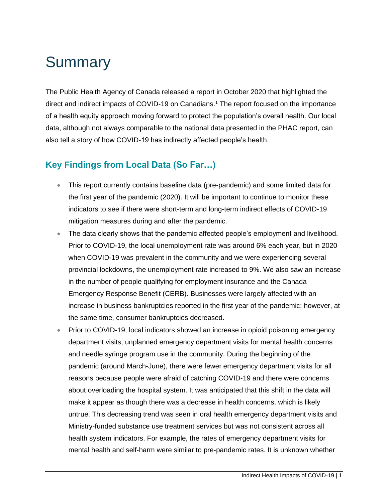# <span id="page-3-0"></span>**Summary**

The Public Health Agency of Canada released a report in October 2020 that highlighted the direct and indirect impacts of COVID-19 on Canadians.<sup>1</sup> The report focused on the importance of a health equity approach moving forward to protect the population's overall health. Our local data, although not always comparable to the national data presented in the PHAC report, can also tell a story of how COVID-19 has indirectly affected people's health.

# **Key Findings from Local Data (So Far…)**

- This report currently contains baseline data (pre-pandemic) and some limited data for the first year of the pandemic (2020). It will be important to continue to monitor these indicators to see if there were short-term and long-term indirect effects of COVID-19 mitigation measures during and after the pandemic.
- The data clearly shows that the pandemic affected people's employment and livelihood. Prior to COVID-19, the local unemployment rate was around 6% each year, but in 2020 when COVID-19 was prevalent in the community and we were experiencing several provincial lockdowns, the unemployment rate increased to 9%. We also saw an increase in the number of people qualifying for employment insurance and the Canada Emergency Response Benefit (CERB). Businesses were largely affected with an increase in business bankruptcies reported in the first year of the pandemic; however, at the same time, consumer bankruptcies decreased.
- Prior to COVID-19, local indicators showed an increase in opioid poisoning emergency department visits, unplanned emergency department visits for mental health concerns and needle syringe program use in the community. During the beginning of the pandemic (around March-June), there were fewer emergency department visits for all reasons because people were afraid of catching COVID-19 and there were concerns about overloading the hospital system. It was anticipated that this shift in the data will make it appear as though there was a decrease in health concerns, which is likely untrue. This decreasing trend was seen in oral health emergency department visits and Ministry-funded substance use treatment services but was not consistent across all health system indicators. For example, the rates of emergency department visits for mental health and self-harm were similar to pre-pandemic rates. It is unknown whether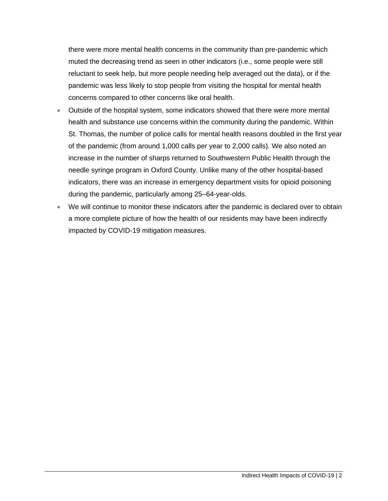there were more mental health concerns in the community than pre-pandemic which muted the decreasing trend as seen in other indicators (i.e., some people were still reluctant to seek help, but more people needing help averaged out the data), or if the pandemic was less likely to stop people from visiting the hospital for mental health concerns compared to other concerns like oral health.

- Outside of the hospital system, some indicators showed that there were more mental health and substance use concerns within the community during the pandemic. Within St. Thomas, the number of police calls for mental health reasons doubled in the first year of the pandemic (from around 1,000 calls per year to 2,000 calls). We also noted an increase in the number of sharps returned to Southwestern Public Health through the needle syringe program in Oxford County. Unlike many of the other hospital-based indicators, there was an increase in emergency department visits for opioid poisoning during the pandemic, particularly among 25–64-year-olds.
- We will continue to monitor these indicators after the pandemic is declared over to obtain a more complete picture of how the health of our residents may have been indirectly impacted by COVID-19 mitigation measures.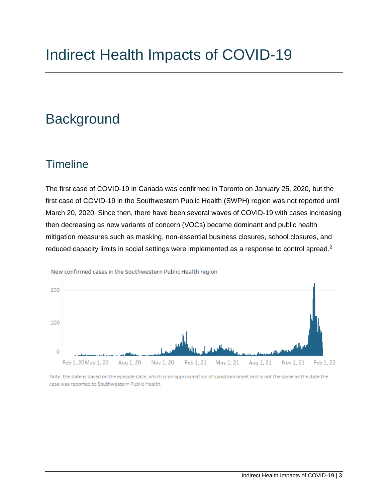# <span id="page-5-0"></span>**Background**

# <span id="page-5-1"></span>**Timeline**

The first case of COVID-19 in Canada was confirmed in Toronto on January 25, 2020, but the first case of COVID-19 in the Southwestern Public Health (SWPH) region was not reported until March 20, 2020. Since then, there have been several waves of COVID-19 with cases increasing then decreasing as new variants of concern (VOCs) became dominant and public health mitigation measures such as masking, non-essential business closures, school closures, and reduced capacity limits in social settings were implemented as a response to control spread.<sup>2</sup>



New confirmed cases in the Southwestern Public Health region

Note: the date is based on the episode date, which is an approximation of symptom onset and is not the same as the date the case was reported to Southwestern Public Health.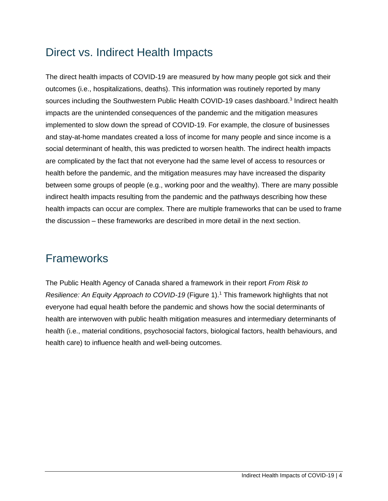# <span id="page-6-0"></span>Direct vs. Indirect Health Impacts

The direct health impacts of COVID-19 are measured by how many people got sick and their outcomes (i.e., hospitalizations, deaths). This information was routinely reported by many sources including the Southwestern Public Health COVID-19 cases dashboard.<sup>3</sup> Indirect health impacts are the unintended consequences of the pandemic and the mitigation measures implemented to slow down the spread of COVID-19. For example, the closure of businesses and stay-at-home mandates created a loss of income for many people and since income is a social determinant of health, this was predicted to worsen health. The indirect health impacts are complicated by the fact that not everyone had the same level of access to resources or health before the pandemic, and the mitigation measures may have increased the disparity between some groups of people (e.g., working poor and the wealthy). There are many possible indirect health impacts resulting from the pandemic and the pathways describing how these health impacts can occur are complex. There are multiple frameworks that can be used to frame the discussion – these frameworks are described in more detail in the next section.

# <span id="page-6-1"></span>Frameworks

The Public Health Agency of Canada shared a framework in their report *From Risk to Resilience: An Equity Approach to COVID-19* (Figure 1). <sup>1</sup> This framework highlights that not everyone had equal health before the pandemic and shows how the social determinants of health are interwoven with public health mitigation measures and intermediary determinants of health (i.e., material conditions, psychosocial factors, biological factors, health behaviours, and health care) to influence health and well-being outcomes.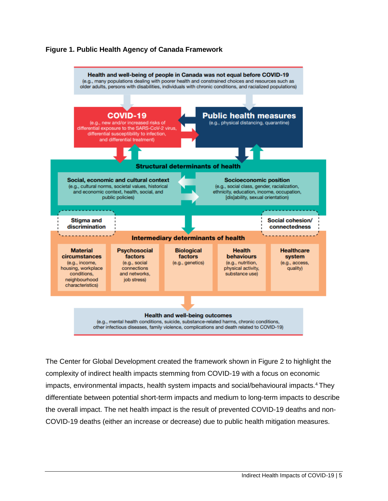



The Center for Global Development created the framework shown in Figure 2 to highlight the complexity of indirect health impacts stemming from COVID-19 with a focus on economic impacts, environmental impacts, health system impacts and social/behavioural impacts.<sup>4</sup> They differentiate between potential short-term impacts and medium to long-term impacts to describe the overall impact. The net health impact is the result of prevented COVID-19 deaths and non-COVID-19 deaths (either an increase or decrease) due to public health mitigation measures.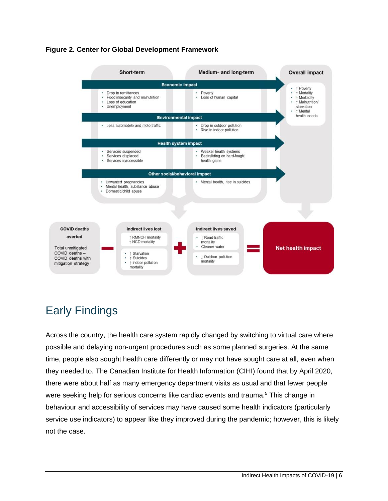



# <span id="page-8-0"></span>Early Findings

Across the country, the health care system rapidly changed by switching to virtual care where possible and delaying non-urgent procedures such as some planned surgeries. At the same time, people also sought health care differently or may not have sought care at all, even when they needed to. The Canadian Institute for Health Information (CIHI) found that by April 2020, there were about half as many emergency department visits as usual and that fewer people were seeking help for serious concerns like cardiac events and trauma.<sup>5</sup> This change in behaviour and accessibility of services may have caused some health indicators (particularly service use indicators) to appear like they improved during the pandemic; however, this is likely not the case.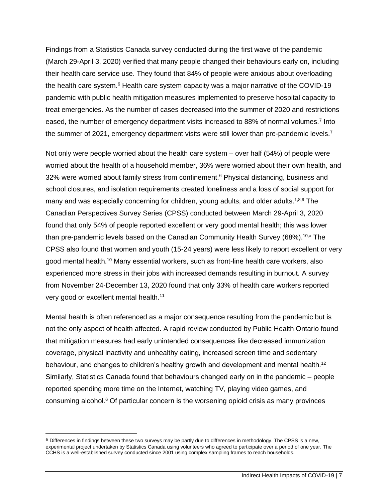Findings from a Statistics Canada survey conducted during the first wave of the pandemic (March 29-April 3, 2020) verified that many people changed their behaviours early on, including their health care service use. They found that 84% of people were anxious about overloading the health care system.<sup>6</sup> Health care system capacity was a major narrative of the COVID-19 pandemic with public health mitigation measures implemented to preserve hospital capacity to treat emergencies. As the number of cases decreased into the summer of 2020 and restrictions eased, the number of emergency department visits increased to 88% of normal volumes.<sup>7</sup> Into the summer of 2021, emergency department visits were still lower than pre-pandemic levels.<sup>7</sup>

Not only were people worried about the health care system – over half (54%) of people were worried about the health of a household member, 36% were worried about their own health, and 32% were worried about family stress from confinement.<sup>6</sup> Physical distancing, business and school closures, and isolation requirements created loneliness and a loss of social support for many and was especially concerning for children, young adults, and older adults.<sup>1,8,9</sup> The Canadian Perspectives Survey Series (CPSS) conducted between March 29-April 3, 2020 found that only 54% of people reported excellent or very good mental health; this was lower than pre-pandemic levels based on the Canadian Community Health Survey (68%).<sup>10,a</sup> The CPSS also found that women and youth (15-24 years) were less likely to report excellent or very good mental health.<sup>10</sup> Many essential workers, such as front-line health care workers, also experienced more stress in their jobs with increased demands resulting in burnout. A survey from November 24-December 13, 2020 found that only 33% of health care workers reported very good or excellent mental health.<sup>11</sup>

Mental health is often referenced as a major consequence resulting from the pandemic but is not the only aspect of health affected. A rapid review conducted by Public Health Ontario found that mitigation measures had early unintended consequences like decreased immunization coverage, physical inactivity and unhealthy eating, increased screen time and sedentary behaviour, and changes to children's healthy growth and development and mental health.<sup>12</sup> Similarly, Statistics Canada found that behaviours changed early on in the pandemic – people reported spending more time on the Internet, watching TV, playing video games, and consuming alcohol.<sup>6</sup> Of particular concern is the worsening opioid crisis as many provinces

a Differences in findings between these two surveys may be partly due to differences in methodology. The CPSS is a new, experimental project undertaken by Statistics Canada using volunteers who agreed to participate over a period of one year. The CCHS is a well-established survey conducted since 2001 using complex sampling frames to reach households.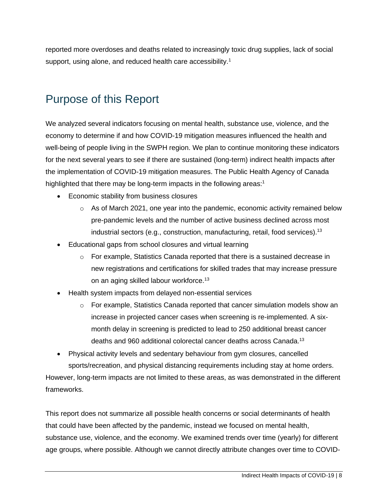reported more overdoses and deaths related to increasingly toxic drug supplies, lack of social support, using alone, and reduced health care accessibility.<sup>1</sup>

# <span id="page-10-0"></span>Purpose of this Report

We analyzed several indicators focusing on mental health, substance use, violence, and the economy to determine if and how COVID-19 mitigation measures influenced the health and well-being of people living in the SWPH region. We plan to continue monitoring these indicators for the next several years to see if there are sustained (long-term) indirect health impacts after the implementation of COVID-19 mitigation measures. The Public Health Agency of Canada highlighted that there may be long-term impacts in the following areas:<sup>1</sup>

- Economic stability from business closures
	- $\circ$  As of March 2021, one year into the pandemic, economic activity remained below pre-pandemic levels and the number of active business declined across most industrial sectors (e.g., construction, manufacturing, retail, food services).<sup>13</sup>
- Educational gaps from school closures and virtual learning
	- $\circ$  For example, Statistics Canada reported that there is a sustained decrease in new registrations and certifications for skilled trades that may increase pressure on an aging skilled labour workforce.<sup>13</sup>
- Health system impacts from delayed non-essential services
	- $\circ$  For example, Statistics Canada reported that cancer simulation models show an increase in projected cancer cases when screening is re-implemented. A sixmonth delay in screening is predicted to lead to 250 additional breast cancer deaths and 960 additional colorectal cancer deaths across Canada.<sup>13</sup>

• Physical activity levels and sedentary behaviour from gym closures, cancelled sports/recreation, and physical distancing requirements including stay at home orders. However, long-term impacts are not limited to these areas, as was demonstrated in the different frameworks.

This report does not summarize all possible health concerns or social determinants of health that could have been affected by the pandemic, instead we focused on mental health, substance use, violence, and the economy. We examined trends over time (yearly) for different age groups, where possible. Although we cannot directly attribute changes over time to COVID-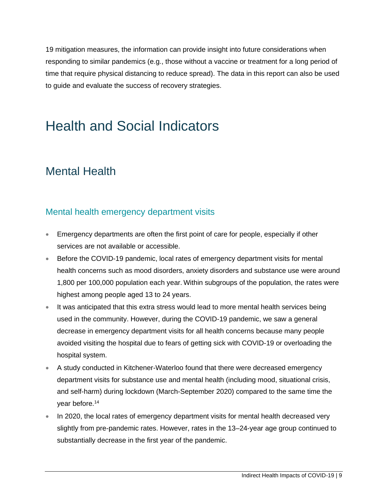19 mitigation measures, the information can provide insight into future considerations when responding to similar pandemics (e.g., those without a vaccine or treatment for a long period of time that require physical distancing to reduce spread). The data in this report can also be used to guide and evaluate the success of recovery strategies.

# <span id="page-11-0"></span>Health and Social Indicators

# <span id="page-11-1"></span>Mental Health

### Mental health emergency department visits

- Emergency departments are often the first point of care for people, especially if other services are not available or accessible.
- Before the COVID-19 pandemic, local rates of emergency department visits for mental health concerns such as mood disorders, anxiety disorders and substance use were around 1,800 per 100,000 population each year. Within subgroups of the population, the rates were highest among people aged 13 to 24 years.
- It was anticipated that this extra stress would lead to more mental health services being used in the community. However, during the COVID-19 pandemic, we saw a general decrease in emergency department visits for all health concerns because many people avoided visiting the hospital due to fears of getting sick with COVID-19 or overloading the hospital system.
- A study conducted in Kitchener-Waterloo found that there were decreased emergency department visits for substance use and mental health (including mood, situational crisis, and self-harm) during lockdown (March-September 2020) compared to the same time the year before.<sup>14</sup>
- In 2020, the local rates of emergency department visits for mental health decreased very slightly from pre-pandemic rates. However, rates in the 13–24-year age group continued to substantially decrease in the first year of the pandemic.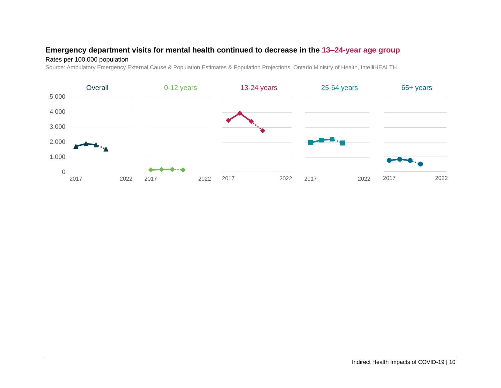#### **Emergency department visits for mental health continued to decrease in the 13–24-year age group**

#### Rates per 100,000 population

Source: Ambulatory Emergency External Cause & Population Estimates & Population Projections, Ontario Ministry of Health, IntelliHEALTH

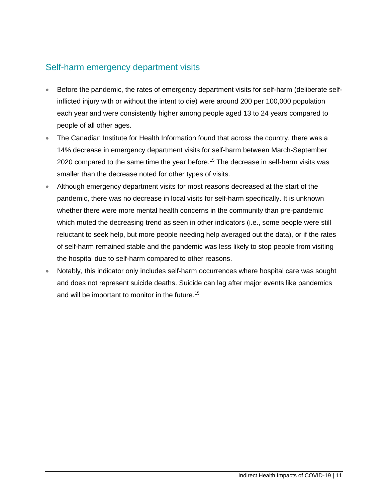### Self-harm emergency department visits

- Before the pandemic, the rates of emergency department visits for self-harm (deliberate selfinflicted injury with or without the intent to die) were around 200 per 100,000 population each year and were consistently higher among people aged 13 to 24 years compared to people of all other ages.
- The Canadian Institute for Health Information found that across the country, there was a 14% decrease in emergency department visits for self-harm between March-September 2020 compared to the same time the year before.<sup>15</sup> The decrease in self-harm visits was smaller than the decrease noted for other types of visits.
- Although emergency department visits for most reasons decreased at the start of the pandemic, there was no decrease in local visits for self-harm specifically. It is unknown whether there were more mental health concerns in the community than pre-pandemic which muted the decreasing trend as seen in other indicators (i.e., some people were still reluctant to seek help, but more people needing help averaged out the data), or if the rates of self-harm remained stable and the pandemic was less likely to stop people from visiting the hospital due to self-harm compared to other reasons.
- Notably, this indicator only includes self-harm occurrences where hospital care was sought and does not represent suicide deaths. Suicide can lag after major events like pandemics and will be important to monitor in the future.<sup>15</sup>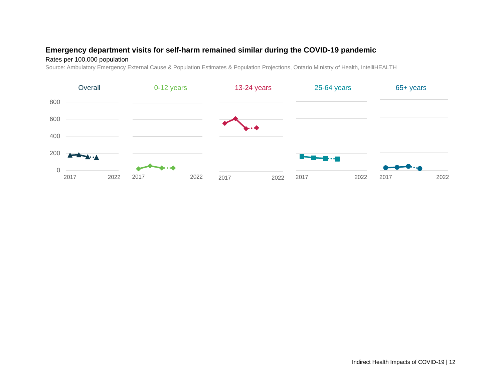#### **Emergency department visits for self-harm remained similar during the COVID-19 pandemic**

#### Rates per 100,000 population

Source: Ambulatory Emergency External Cause & Population Estimates & Population Projections, Ontario Ministry of Health, IntelliHEALTH

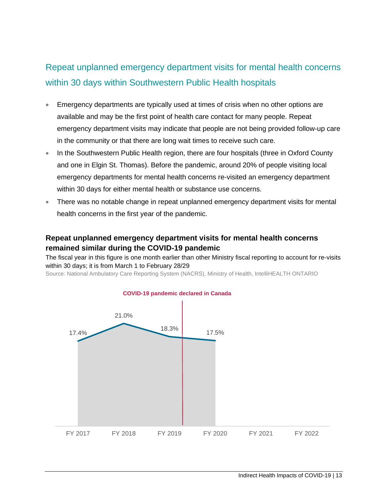# Repeat unplanned emergency department visits for mental health concerns within 30 days within Southwestern Public Health hospitals

- Emergency departments are typically used at times of crisis when no other options are available and may be the first point of health care contact for many people. Repeat emergency department visits may indicate that people are not being provided follow-up care in the community or that there are long wait times to receive such care.
- In the Southwestern Public Health region, there are four hospitals (three in Oxford County and one in Elgin St. Thomas). Before the pandemic, around 20% of people visiting local emergency departments for mental health concerns re-visited an emergency department within 30 days for either mental health or substance use concerns.
- There was no notable change in repeat unplanned emergency department visits for mental health concerns in the first year of the pandemic.

#### **Repeat unplanned emergency department visits for mental health concerns remained similar during the COVID-19 pandemic**

The fiscal year in this figure is one month earlier than other Ministry fiscal reporting to account for re-visits within 30 days; it is from March 1 to February 28/29

Source: National Ambulatory Care Reporting System (NACRS), Ministry of Health, IntelliHEALTH ONTARIO



Indirect Health Impacts of COVID-19 | 13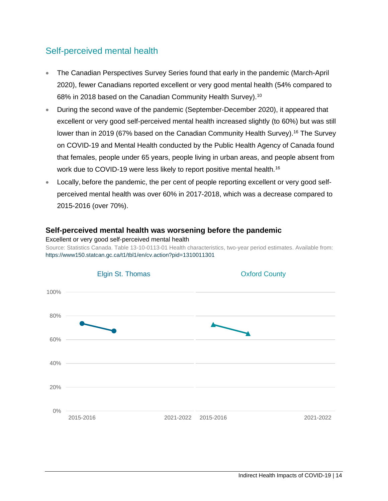### Self-perceived mental health

- The Canadian Perspectives Survey Series found that early in the pandemic (March-April 2020), fewer Canadians reported excellent or very good mental health (54% compared to 68% in 2018 based on the Canadian Community Health Survey).<sup>10</sup>
- During the second wave of the pandemic (September-December 2020), it appeared that excellent or very good self-perceived mental health increased slightly (to 60%) but was still lower than in 2019 (67% based on the Canadian Community Health Survey).<sup>16</sup> The Survey on COVID-19 and Mental Health conducted by the Public Health Agency of Canada found that females, people under 65 years, people living in urban areas, and people absent from work due to COVID-19 were less likely to report positive mental health.<sup>16</sup>
- Locally, before the pandemic, the per cent of people reporting excellent or very good selfperceived mental health was over 60% in 2017-2018, which was a decrease compared to 2015-2016 (over 70%).

#### **Self-perceived mental health was worsening before the pandemic**

Excellent or very good self-perceived mental health Source: Statistics Canada. Table 13-10-0113-01 Health characteristics, two-year period estimates. Available from: <https://www150.statcan.gc.ca/t1/tbl1/en/cv.action?pid=1310011301>

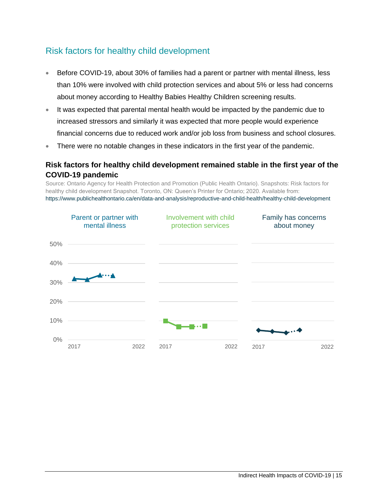## Risk factors for healthy child development

- Before COVID-19, about 30% of families had a parent or partner with mental illness, less than 10% were involved with child protection services and about 5% or less had concerns about money according to Healthy Babies Healthy Children screening results.
- It was expected that parental mental health would be impacted by the pandemic due to increased stressors and similarly it was expected that more people would experience financial concerns due to reduced work and/or job loss from business and school closures.
- There were no notable changes in these indicators in the first year of the pandemic.

#### **Risk factors for healthy child development remained stable in the first year of the COVID-19 pandemic**

Source: Ontario Agency for Health Protection and Promotion (Public Health Ontario). Snapshots: Risk factors for healthy child development Snapshot. Toronto, ON: Queen's Printer for Ontario; 2020. Available from: <https://www.publichealthontario.ca/en/data-and-analysis/reproductive-and-child-health/healthy-child-development>

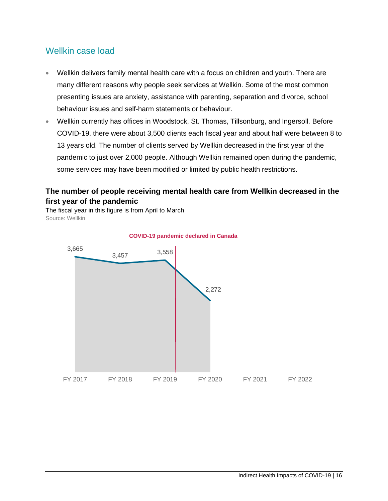### Wellkin case load

- Wellkin delivers family mental health care with a focus on children and youth. There are many different reasons why people seek services at Wellkin. Some of the most common presenting issues are anxiety, assistance with parenting, separation and divorce, school behaviour issues and self-harm statements or behaviour.
- Wellkin currently has offices in Woodstock, St. Thomas, Tillsonburg, and Ingersoll. Before COVID-19, there were about 3,500 clients each fiscal year and about half were between 8 to 13 years old. The number of clients served by Wellkin decreased in the first year of the pandemic to just over 2,000 people. Although Wellkin remained open during the pandemic, some services may have been modified or limited by public health restrictions.

#### **The number of people receiving mental health care from Wellkin decreased in the first year of the pandemic**

The fiscal year in this figure is from April to March Source: Wellkin



#### **COVID-19 pandemic declared in Canada**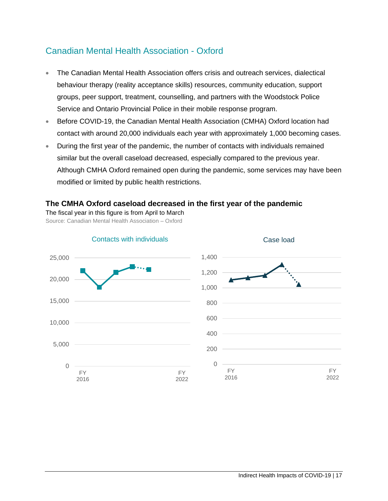### Canadian Mental Health Association - Oxford

- The Canadian Mental Health Association offers crisis and outreach services, dialectical behaviour therapy (reality acceptance skills) resources, community education, support groups, peer support, treatment, counselling, and partners with the Woodstock Police Service and Ontario Provincial Police in their mobile response program.
- Before COVID-19, the Canadian Mental Health Association (CMHA) Oxford location had contact with around 20,000 individuals each year with approximately 1,000 becoming cases.
- During the first year of the pandemic, the number of contacts with individuals remained similar but the overall caseload decreased, especially compared to the previous year. Although CMHA Oxford remained open during the pandemic, some services may have been modified or limited by public health restrictions.

#### **The CMHA Oxford caseload decreased in the first year of the pandemic**

The fiscal year in this figure is from April to March

Source: Canadian Mental Health Association – Oxford

<span id="page-19-0"></span>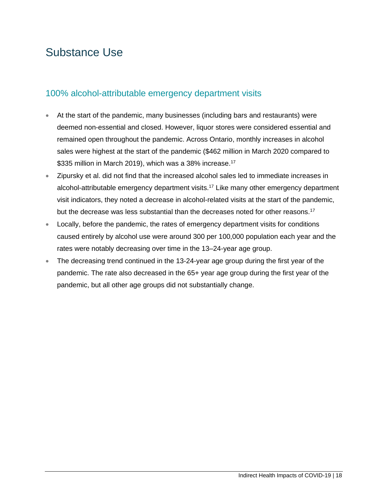# Substance Use

#### 100% alcohol-attributable emergency department visits

- At the start of the pandemic, many businesses (including bars and restaurants) were deemed non-essential and closed. However, liquor stores were considered essential and remained open throughout the pandemic. Across Ontario, monthly increases in alcohol sales were highest at the start of the pandemic (\$462 million in March 2020 compared to \$335 million in March 2019), which was a 38% increase.<sup>17</sup>
- Zipursky et al. did not find that the increased alcohol sales led to immediate increases in alcohol-attributable emergency department visits.<sup>17</sup> Like many other emergency department visit indicators, they noted a decrease in alcohol-related visits at the start of the pandemic, but the decrease was less substantial than the decreases noted for other reasons.<sup>17</sup>
- Locally, before the pandemic, the rates of emergency department visits for conditions caused entirely by alcohol use were around 300 per 100,000 population each year and the rates were notably decreasing over time in the 13–24-year age group.
- The decreasing trend continued in the 13-24-year age group during the first year of the pandemic. The rate also decreased in the 65+ year age group during the first year of the pandemic, but all other age groups did not substantially change.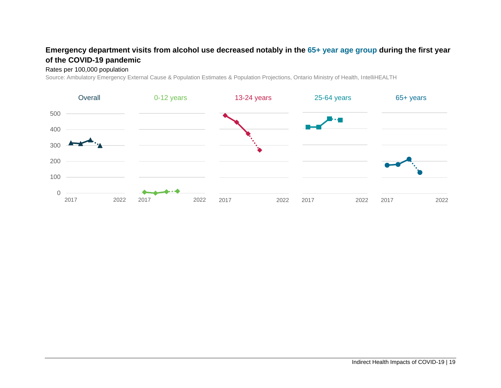#### **Emergency department visits from alcohol use decreased notably in the 65+ year age group during the first year of the COVID-19 pandemic**

#### Rates per 100,000 population

Source: Ambulatory Emergency External Cause & Population Estimates & Population Projections, Ontario Ministry of Health, IntelliHEALTH

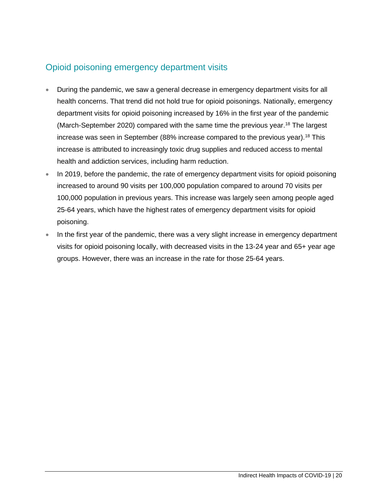# Opioid poisoning emergency department visits

- During the pandemic, we saw a general decrease in emergency department visits for all health concerns. That trend did not hold true for opioid poisonings. Nationally, emergency department visits for opioid poisoning increased by 16% in the first year of the pandemic (March-September 2020) compared with the same time the previous year.<sup>18</sup> The largest increase was seen in September (88% increase compared to the previous year).<sup>18</sup> This increase is attributed to increasingly toxic drug supplies and reduced access to mental health and addiction services, including harm reduction.
- In 2019, before the pandemic, the rate of emergency department visits for opioid poisoning increased to around 90 visits per 100,000 population compared to around 70 visits per 100,000 population in previous years. This increase was largely seen among people aged 25-64 years, which have the highest rates of emergency department visits for opioid poisoning.
- In the first year of the pandemic, there was a very slight increase in emergency department visits for opioid poisoning locally, with decreased visits in the 13-24 year and 65+ year age groups. However, there was an increase in the rate for those 25-64 years.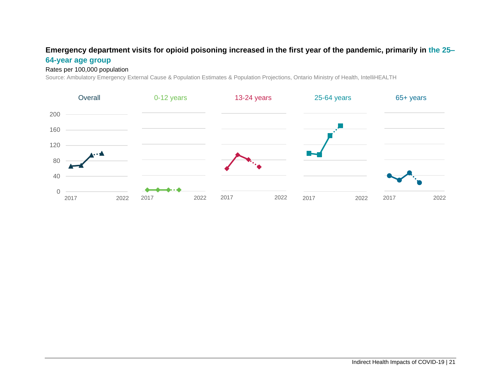#### **Emergency department visits for opioid poisoning increased in the first year of the pandemic, primarily in the 25–**

#### **64-year age group**

#### Rates per 100,000 population

Source: Ambulatory Emergency External Cause & Population Estimates & Population Projections, Ontario Ministry of Health, IntelliHEALTH

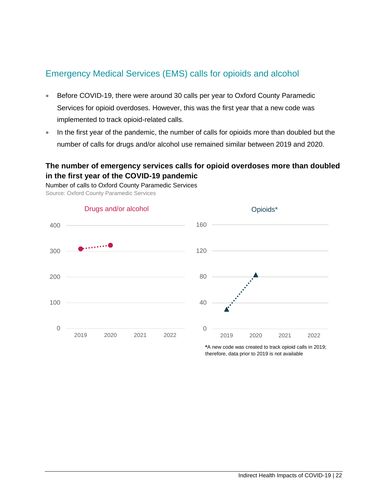### Emergency Medical Services (EMS) calls for opioids and alcohol

- Before COVID-19, there were around 30 calls per year to Oxford County Paramedic Services for opioid overdoses. However, this was the first year that a new code was implemented to track opioid-related calls.
- In the first year of the pandemic, the number of calls for opioids more than doubled but the number of calls for drugs and/or alcohol use remained similar between 2019 and 2020.

#### **The number of emergency services calls for opioid overdoses more than doubled in the first year of the COVID-19 pandemic**

Number of calls to Oxford County Paramedic Services Source: Oxford County Paramedic Services



**\***A new code was created to track opioid calls in 2019; therefore, data prior to 2019 is not available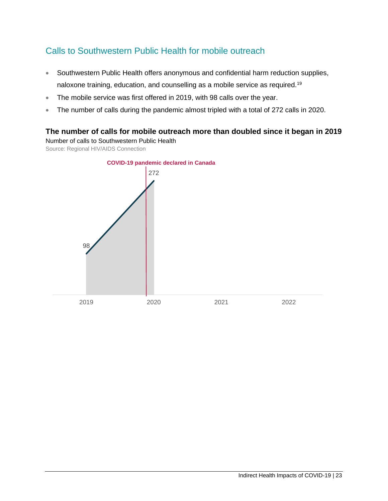## Calls to Southwestern Public Health for mobile outreach

- Southwestern Public Health offers anonymous and confidential harm reduction supplies, naloxone training, education, and counselling as a mobile service as required.<sup>19</sup>
- The mobile service was first offered in 2019, with 98 calls over the year.
- The number of calls during the pandemic almost tripled with a total of 272 calls in 2020.

#### **The number of calls for mobile outreach more than doubled since it began in 2019**

Number of calls to Southwestern Public Health

Source: Regional HIV/AIDS Connection

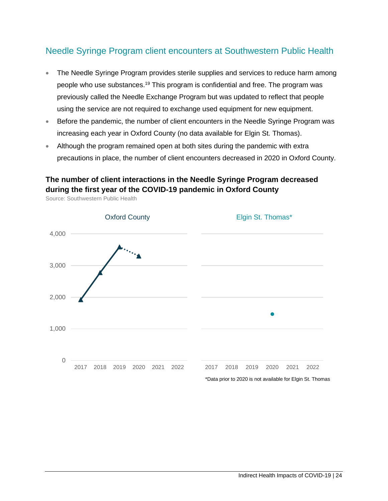### Needle Syringe Program client encounters at Southwestern Public Health

- The Needle Syringe Program provides sterile supplies and services to reduce harm among people who use substances.<sup>19</sup> This program is confidential and free. The program was previously called the Needle Exchange Program but was updated to reflect that people using the service are not required to exchange used equipment for new equipment.
- Before the pandemic, the number of client encounters in the Needle Syringe Program was increasing each year in Oxford County (no data available for Elgin St. Thomas).
- Although the program remained open at both sites during the pandemic with extra precautions in place, the number of client encounters decreased in 2020 in Oxford County.

#### **The number of client interactions in the Needle Syringe Program decreased during the first year of the COVID-19 pandemic in Oxford County**



Source: Southwestern Public Health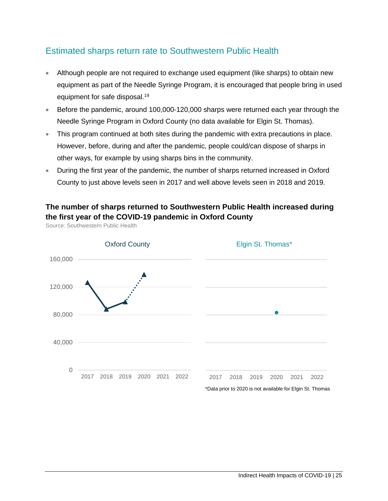### Estimated sharps return rate to Southwestern Public Health

- Although people are not required to exchange used equipment (like sharps) to obtain new equipment as part of the Needle Syringe Program, it is encouraged that people bring in used equipment for safe disposal.<sup>19</sup>
- Before the pandemic, around 100,000-120,000 sharps were returned each year through the Needle Syringe Program in Oxford County (no data available for Elgin St. Thomas).
- This program continued at both sites during the pandemic with extra precautions in place. However, before, during and after the pandemic, people could/can dispose of sharps in other ways, for example by using sharps bins in the community.
- During the first year of the pandemic, the number of sharps returned increased in Oxford County to just above levels seen in 2017 and well above levels seen in 2018 and 2019.

#### **The number of sharps returned to Southwestern Public Health increased during the first year of the COVID-19 pandemic in Oxford County**



Source: Southwestern Public Health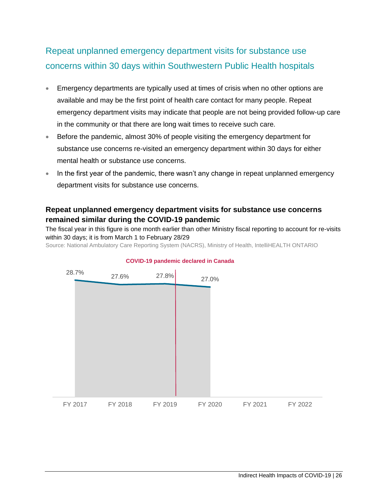# Repeat unplanned emergency department visits for substance use concerns within 30 days within Southwestern Public Health hospitals

- Emergency departments are typically used at times of crisis when no other options are available and may be the first point of health care contact for many people. Repeat emergency department visits may indicate that people are not being provided follow-up care in the community or that there are long wait times to receive such care.
- Before the pandemic, almost 30% of people visiting the emergency department for substance use concerns re-visited an emergency department within 30 days for either mental health or substance use concerns.
- In the first year of the pandemic, there wasn't any change in repeat unplanned emergency department visits for substance use concerns.

#### **Repeat unplanned emergency department visits for substance use concerns remained similar during the COVID-19 pandemic**

The fiscal year in this figure is one month earlier than other Ministry fiscal reporting to account for re-visits within 30 days; it is from March 1 to February 28/29

Source: National Ambulatory Care Reporting System (NACRS), Ministry of Health, IntelliHEALTH ONTARIO



#### **COVID-19 pandemic declared in Canada**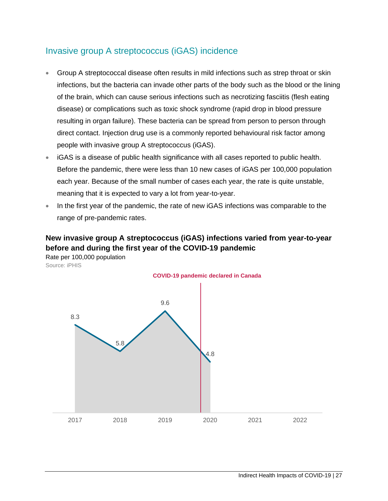### Invasive group A streptococcus (iGAS) incidence

- Group A streptococcal disease often results in mild infections such as strep throat or skin infections, but the bacteria can invade other parts of the body such as the blood or the lining of the brain, which can cause serious infections such as necrotizing fasciitis (flesh eating disease) or complications such as toxic shock syndrome (rapid drop in blood pressure resulting in organ failure). These bacteria can be spread from person to person through direct contact. Injection drug use is a commonly reported behavioural risk factor among people with invasive group A streptococcus (iGAS).
- iGAS is a disease of public health significance with all cases reported to public health. Before the pandemic, there were less than 10 new cases of iGAS per 100,000 population each year. Because of the small number of cases each year, the rate is quite unstable, meaning that it is expected to vary a lot from year-to-year.
- In the first year of the pandemic, the rate of new iGAS infections was comparable to the range of pre-pandemic rates.

### **New invasive group A streptococcus (iGAS) infections varied from year-to-year before and during the first year of the COVID-19 pandemic**

Rate per 100,000 population Source: iPHIS

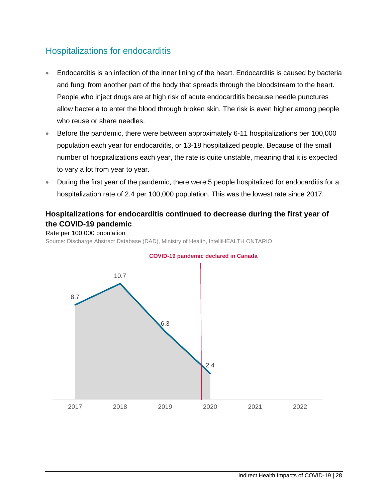# Hospitalizations for endocarditis

- Endocarditis is an infection of the inner lining of the heart. Endocarditis is caused by bacteria and fungi from another part of the body that spreads through the bloodstream to the heart. People who inject drugs are at high risk of acute endocarditis because needle punctures allow bacteria to enter the blood through broken skin. The risk is even higher among people who reuse or share needles.
- Before the pandemic, there were between approximately 6-11 hospitalizations per 100,000 population each year for endocarditis, or 13-18 hospitalized people. Because of the small number of hospitalizations each year, the rate is quite unstable, meaning that it is expected to vary a lot from year to year.
- During the first year of the pandemic, there were 5 people hospitalized for endocarditis for a hospitalization rate of 2.4 per 100,000 population. This was the lowest rate since 2017.

#### **Hospitalizations for endocarditis continued to decrease during the first year of the COVID-19 pandemic**

Rate per 100,000 population Source: Discharge Abstract Database (DAD), Ministry of Health, IntelliHEALTH ONTARIO



#### **COVID-19 pandemic declared in Canada**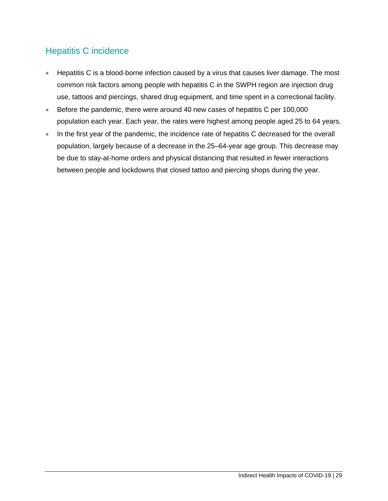# Hepatitis C incidence

- Hepatitis C is a blood-borne infection caused by a virus that causes liver damage. The most common risk factors among people with hepatitis C in the SWPH region are injection drug use, tattoos and piercings, shared drug equipment, and time spent in a correctional facility.
- Before the pandemic, there were around 40 new cases of hepatitis C per 100,000 population each year. Each year, the rates were highest among people aged 25 to 64 years.
- In the first year of the pandemic, the incidence rate of hepatitis C decreased for the overall population, largely because of a decrease in the 25–64-year age group. This decrease may be due to stay-at-home orders and physical distancing that resulted in fewer interactions between people and lockdowns that closed tattoo and piercing shops during the year.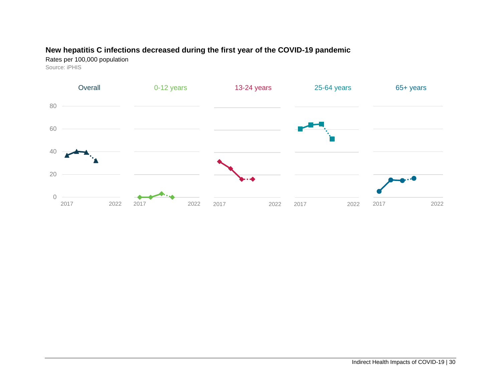#### **New hepatitis C infections decreased during the first year of the COVID-19 pandemic**

Rates per 100,000 population Source: iPHIS

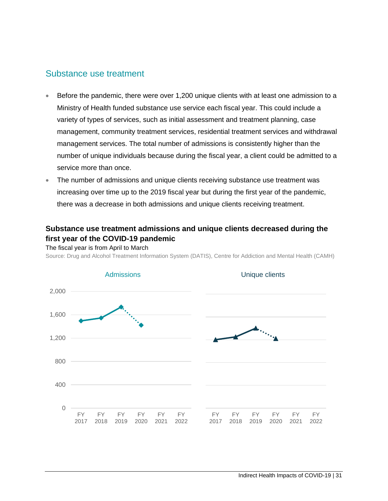#### Substance use treatment

- Before the pandemic, there were over 1,200 unique clients with at least one admission to a Ministry of Health funded substance use service each fiscal year. This could include a variety of types of services, such as initial assessment and treatment planning, case management, community treatment services, residential treatment services and withdrawal management services. The total number of admissions is consistently higher than the number of unique individuals because during the fiscal year, a client could be admitted to a service more than once.
- The number of admissions and unique clients receiving substance use treatment was increasing over time up to the 2019 fiscal year but during the first year of the pandemic, there was a decrease in both admissions and unique clients receiving treatment.

#### **Substance use treatment admissions and unique clients decreased during the first year of the COVID-19 pandemic**

The fiscal year is from April to March

Source: Drug and Alcohol Treatment Information System (DATIS), Centre for Addiction and Mental Health (CAMH)

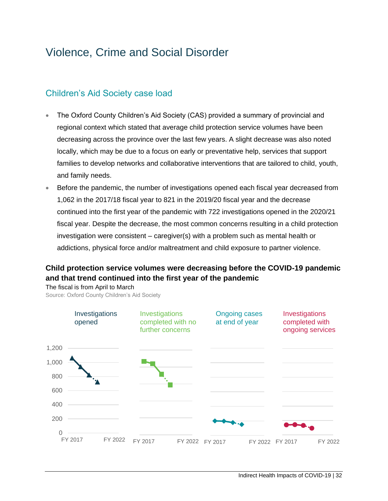# <span id="page-34-0"></span>Violence, Crime and Social Disorder

### Children's Aid Society case load

- The Oxford County Children's Aid Society (CAS) provided a summary of provincial and regional context which stated that average child protection service volumes have been decreasing across the province over the last few years. A slight decrease was also noted locally, which may be due to a focus on early or preventative help, services that support families to develop networks and collaborative interventions that are tailored to child, youth, and family needs.
- Before the pandemic, the number of investigations opened each fiscal year decreased from 1,062 in the 2017/18 fiscal year to 821 in the 2019/20 fiscal year and the decrease continued into the first year of the pandemic with 722 investigations opened in the 2020/21 fiscal year. Despite the decrease, the most common concerns resulting in a child protection investigation were consistent – caregiver(s) with a problem such as mental health or addictions, physical force and/or maltreatment and child exposure to partner violence.

#### **Child protection service volumes were decreasing before the COVID-19 pandemic and that trend continued into the first year of the pandemic**

The fiscal is from April to March

Source: Oxford County Children's Aid Society

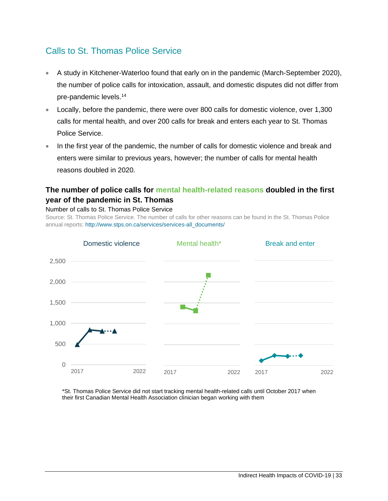### Calls to St. Thomas Police Service

- A study in Kitchener-Waterloo found that early on in the pandemic (March-September 2020), the number of police calls for intoxication, assault, and domestic disputes did not differ from pre-pandemic levels.<sup>14</sup>
- Locally, before the pandemic, there were over 800 calls for domestic violence, over 1,300 calls for mental health, and over 200 calls for break and enters each year to St. Thomas Police Service.
- In the first year of the pandemic, the number of calls for domestic violence and break and enters were similar to previous years, however; the number of calls for mental health reasons doubled in 2020.

#### **The number of police calls for mental health-related reasons doubled in the first year of the pandemic in St. Thomas**



Number of calls to St. Thomas Police Service

Source: St. Thomas Police Service. The number of calls for other reasons can be found in the St. Thomas Police annual reports[: http://www.stps.on.ca/services/services-all\\_documents/](http://www.stps.on.ca/services/services-all_documents/)

\*St. Thomas Police Service did not start tracking mental health-related calls until October 2017 when their first Canadian Mental Health Association clinician began working with them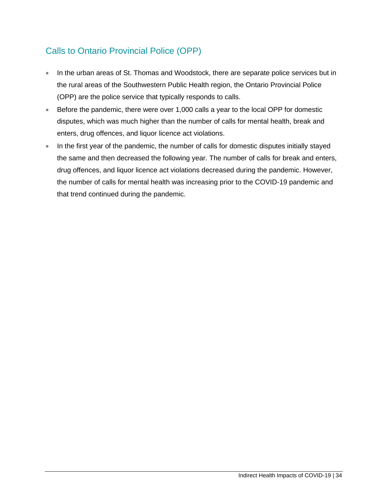# Calls to Ontario Provincial Police (OPP)

- In the urban areas of St. Thomas and Woodstock, there are separate police services but in the rural areas of the Southwestern Public Health region, the Ontario Provincial Police (OPP) are the police service that typically responds to calls.
- Before the pandemic, there were over 1,000 calls a year to the local OPP for domestic disputes, which was much higher than the number of calls for mental health, break and enters, drug offences, and liquor licence act violations.
- In the first year of the pandemic, the number of calls for domestic disputes initially stayed the same and then decreased the following year. The number of calls for break and enters, drug offences, and liquor licence act violations decreased during the pandemic. However, the number of calls for mental health was increasing prior to the COVID-19 pandemic and that trend continued during the pandemic.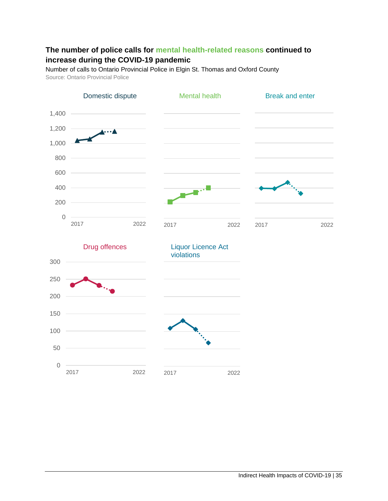#### **The number of police calls for mental health-related reasons continued to increase during the COVID-19 pandemic**

Number of calls to Ontario Provincial Police in Elgin St. Thomas and Oxford County Source: Ontario Provincial Police

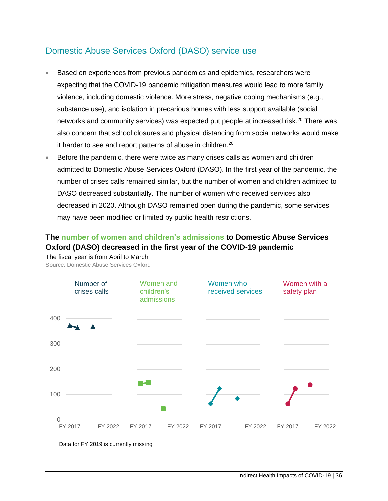### Domestic Abuse Services Oxford (DASO) service use

- Based on experiences from previous pandemics and epidemics, researchers were expecting that the COVID-19 pandemic mitigation measures would lead to more family violence, including domestic violence. More stress, negative coping mechanisms (e.g., substance use), and isolation in precarious homes with less support available (social networks and community services) was expected put people at increased risk.<sup>20</sup> There was also concern that school closures and physical distancing from social networks would make it harder to see and report patterns of abuse in children.<sup>20</sup>
- Before the pandemic, there were twice as many crises calls as women and children admitted to Domestic Abuse Services Oxford (DASO). In the first year of the pandemic, the number of crises calls remained similar, but the number of women and children admitted to DASO decreased substantially. The number of women who received services also decreased in 2020. Although DASO remained open during the pandemic, some services may have been modified or limited by public health restrictions.

#### **The number of women and children's admissions to Domestic Abuse Services Oxford (DASO) decreased in the first year of the COVID-19 pandemic** The fiscal year is from April to March

Source: Domestic Abuse Services Oxford



Data for FY 2019 is currently missing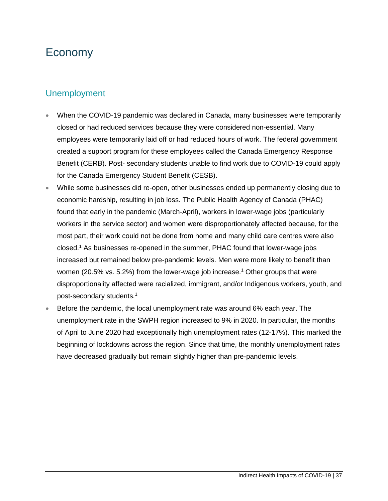# <span id="page-39-0"></span>Economy

### Unemployment

- When the COVID-19 pandemic was declared in Canada, many businesses were temporarily closed or had reduced services because they were considered non-essential. Many employees were temporarily laid off or had reduced hours of work. The federal government created a support program for these employees called the Canada Emergency Response Benefit (CERB). Post- secondary students unable to find work due to COVID-19 could apply for the Canada Emergency Student Benefit (CESB).
- While some businesses did re-open, other businesses ended up permanently closing due to economic hardship, resulting in job loss. The Public Health Agency of Canada (PHAC) found that early in the pandemic (March-April), workers in lower-wage jobs (particularly workers in the service sector) and women were disproportionately affected because, for the most part, their work could not be done from home and many child care centres were also closed. <sup>1</sup> As businesses re-opened in the summer, PHAC found that lower-wage jobs increased but remained below pre-pandemic levels. Men were more likely to benefit than women (20.5% vs. 5.2%) from the lower-wage job increase.<sup>1</sup> Other groups that were disproportionality affected were racialized, immigrant, and/or Indigenous workers, youth, and post-secondary students.<sup>1</sup>
- Before the pandemic, the local unemployment rate was around 6% each year. The unemployment rate in the SWPH region increased to 9% in 2020. In particular, the months of April to June 2020 had exceptionally high unemployment rates (12-17%). This marked the beginning of lockdowns across the region. Since that time, the monthly unemployment rates have decreased gradually but remain slightly higher than pre-pandemic levels.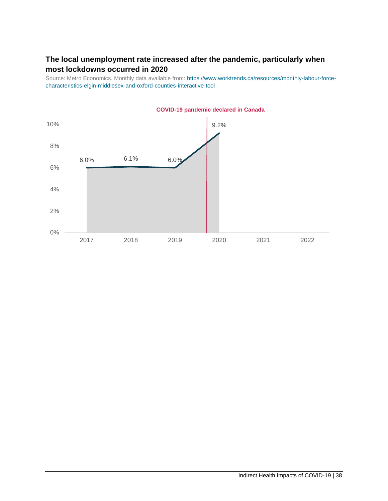#### **The local unemployment rate increased after the pandemic, particularly when most lockdowns occurred in 2020**

Source: Metro Economics. Monthly data available from: [https://www.worktrends.ca/resources/monthly-labour-force](https://www.worktrends.ca/resources/monthly-labour-force-characteristics-elgin-middlesex-and-oxford-counties-interactive-tool)[characteristics-elgin-middlesex-and-oxford-counties-interactive-tool](https://www.worktrends.ca/resources/monthly-labour-force-characteristics-elgin-middlesex-and-oxford-counties-interactive-tool)

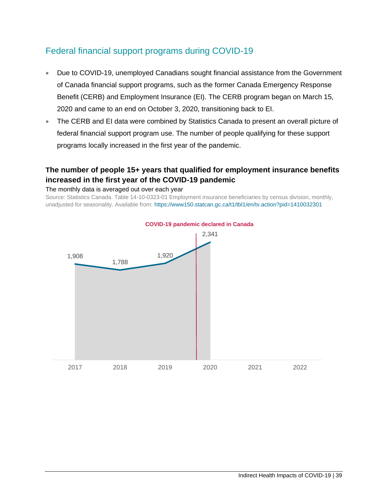### Federal financial support programs during COVID-19

- Due to COVID-19, unemployed Canadians sought financial assistance from the Government of Canada financial support programs, such as the former Canada Emergency Response Benefit (CERB) and Employment Insurance (EI). The CERB program began on March 15, 2020 and came to an end on October 3, 2020, transitioning back to EI.
- The CERB and EI data were combined by Statistics Canada to present an overall picture of federal financial support program use. The number of people qualifying for these support programs locally increased in the first year of the pandemic.

#### **The number of people 15+ years that qualified for employment insurance benefits increased in the first year of the COVID-19 pandemic**

#### The monthly data is averaged out over each year

Source: Statistics Canada. Table 14-10-0323-01 Employment insurance beneficiaries by census division, monthly, unadjusted for seasonality. Available from[: https://www150.statcan.gc.ca/t1/tbl1/en/tv.action?pid=1410032301](https://www150.statcan.gc.ca/t1/tbl1/en/tv.action?pid=1410032301)

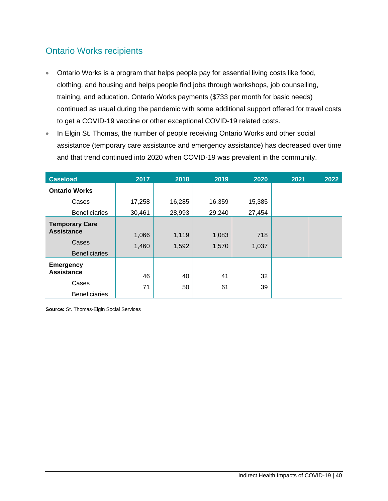## Ontario Works recipients

- Ontario Works is a program that helps people pay for essential living costs like food, clothing, and housing and helps people find jobs through workshops, job counselling, training, and education. Ontario Works payments (\$733 per month for basic needs) continued as usual during the pandemic with some additional support offered for travel costs to get a COVID-19 vaccine or other exceptional COVID-19 related costs.
- In Elgin St. Thomas, the number of people receiving Ontario Works and other social assistance (temporary care assistance and emergency assistance) has decreased over time and that trend continued into 2020 when COVID-19 was prevalent in the community.

| <b>Caseload</b>                                                             | 2017           | 2018           | 2019           | 2020         | 2021 | 2022 |
|-----------------------------------------------------------------------------|----------------|----------------|----------------|--------------|------|------|
| <b>Ontario Works</b>                                                        |                |                |                |              |      |      |
| Cases                                                                       | 17,258         | 16,285         | 16,359         | 15,385       |      |      |
| <b>Beneficiaries</b>                                                        | 30,461         | 28,993         | 29,240         | 27,454       |      |      |
| <b>Temporary Care</b><br><b>Assistance</b><br>Cases<br><b>Beneficiaries</b> | 1,066<br>1,460 | 1,119<br>1,592 | 1,083<br>1,570 | 718<br>1,037 |      |      |
| <b>Emergency</b><br><b>Assistance</b><br>Cases<br><b>Beneficiaries</b>      | 46<br>71       | 40<br>50       | 41<br>61       | 32<br>39     |      |      |

**Source:** St. Thomas-Elgin Social Services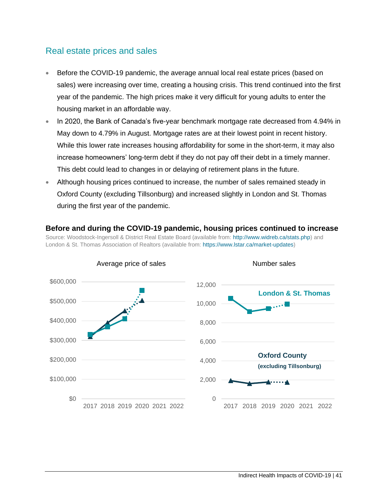#### Real estate prices and sales

- Before the COVID-19 pandemic, the average annual local real estate prices (based on sales) were increasing over time, creating a housing crisis. This trend continued into the first year of the pandemic. The high prices make it very difficult for young adults to enter the housing market in an affordable way.
- In 2020, the Bank of Canada's five-year benchmark mortgage rate decreased from 4.94% in May down to 4.79% in August. Mortgage rates are at their lowest point in recent history. While this lower rate increases housing affordability for some in the short-term, it may also increase homeowners' long-term debt if they do not pay off their debt in a timely manner. This debt could lead to changes in or delaying of retirement plans in the future.
- Although housing prices continued to increase, the number of sales remained steady in Oxford County (excluding Tillsonburg) and increased slightly in London and St. Thomas during the first year of the pandemic.

#### **Before and during the COVID-19 pandemic, housing prices continued to increase**  Source: Woodstock-Ingersoll & District Real Estate Board (available from[: http://www.widreb.ca/stats.php\)](http://www.widreb.ca/stats.php) and London & St. Thomas Association of Realtors (available from: [https://www.lstar.ca/market-updates\)](https://www.lstar.ca/market-updates)

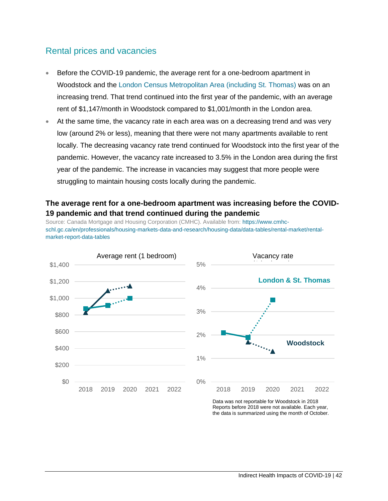#### Rental prices and vacancies

- Before the COVID-19 pandemic, the average rent for a one-bedroom apartment in Woodstock and the [London Census Metropolitan Area \(including St. Thomas\)](https://www12.statcan.gc.ca/census-recensement/2016/as-sa/fogs-spg/Facts-cma-eng.cfm?LANG=Eng&GK=CMA&GC=555&TOPIC=1) was on an increasing trend. That trend continued into the first year of the pandemic, with an average rent of \$1,147/month in Woodstock compared to \$1,001/month in the London area.
- At the same time, the vacancy rate in each area was on a decreasing trend and was very low (around 2% or less), meaning that there were not many apartments available to rent locally. The decreasing vacancy rate trend continued for Woodstock into the first year of the pandemic. However, the vacancy rate increased to 3.5% in the London area during the first year of the pandemic. The increase in vacancies may suggest that more people were struggling to maintain housing costs locally during the pandemic.

#### **The average rent for a one-bedroom apartment was increasing before the COVID-19 pandemic and that trend continued during the pandemic**

Source: Canada Mortgage and Housing Corporation (CMHC). Available from[: https://www.cmhc](https://www.cmhc-schl.gc.ca/en/professionals/housing-markets-data-and-research/housing-data/data-tables/rental-market/rental-market-report-data-tables)[schl.gc.ca/en/professionals/housing-markets-data-and-research/housing-data/data-tables/rental-market/rental](https://www.cmhc-schl.gc.ca/en/professionals/housing-markets-data-and-research/housing-data/data-tables/rental-market/rental-market-report-data-tables)[market-report-data-tables](https://www.cmhc-schl.gc.ca/en/professionals/housing-markets-data-and-research/housing-data/data-tables/rental-market/rental-market-report-data-tables)



Data was not reportable for Woodstock in 2018 Reports before 2018 were not available. Each year, the data is summarized using the month of October.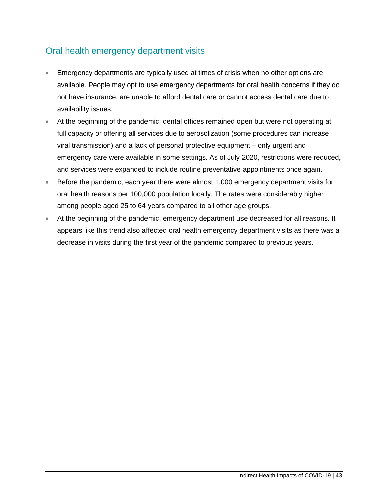## Oral health emergency department visits

- Emergency departments are typically used at times of crisis when no other options are available. People may opt to use emergency departments for oral health concerns if they do not have insurance, are unable to afford dental care or cannot access dental care due to availability issues.
- At the beginning of the pandemic, dental offices remained open but were not operating at full capacity or offering all services due to aerosolization (some procedures can increase viral transmission) and a lack of personal protective equipment – only urgent and emergency care were available in some settings. As of July 2020, restrictions were reduced, and services were expanded to include routine preventative appointments once again.
- Before the pandemic, each year there were almost 1,000 emergency department visits for oral health reasons per 100,000 population locally. The rates were considerably higher among people aged 25 to 64 years compared to all other age groups.
- At the beginning of the pandemic, emergency department use decreased for all reasons. It appears like this trend also affected oral health emergency department visits as there was a decrease in visits during the first year of the pandemic compared to previous years.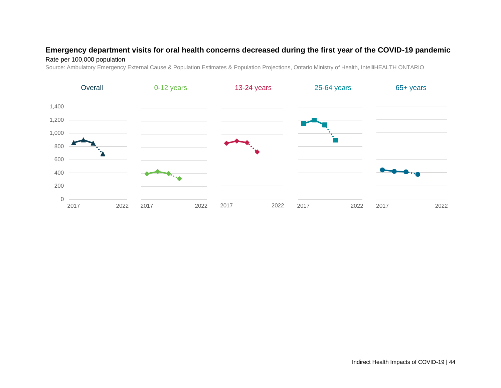#### **Emergency department visits for oral health concerns decreased during the first year of the COVID-19 pandemic**

#### Rate per 100,000 population

Source: Ambulatory Emergency External Cause & Population Estimates & Population Projections, Ontario Ministry of Health, IntelliHEALTH ONTARIO

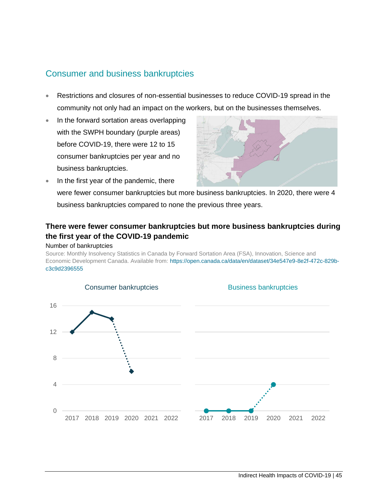### Consumer and business bankruptcies

- Restrictions and closures of non-essential businesses to reduce COVID-19 spread in the community not only had an impact on the workers, but on the businesses themselves.
- In the forward sortation areas overlapping with the SWPH boundary (purple areas) before COVID-19, there were 12 to 15 consumer bankruptcies per year and no business bankruptcies.



• In the first year of the pandemic, there were fewer consumer bankruptcies but more business bankruptcies. In 2020, there were 4 business bankruptcies compared to none the previous three years.

#### **There were fewer consumer bankruptcies but more business bankruptcies during the first year of the COVID-19 pandemic**

#### Number of bankruptcies

Source: Monthly Insolvency Statistics in Canada by Forward Sortation Area (FSA), Innovation, Science and Economic Development Canada. Available from: [https://open.canada.ca/data/en/dataset/34e547e9-8e2f-472c-829b](https://open.canada.ca/data/en/dataset/34e547e9-8e2f-472c-829b-c3c9d2396555)[c3c9d2396555](https://open.canada.ca/data/en/dataset/34e547e9-8e2f-472c-829b-c3c9d2396555)

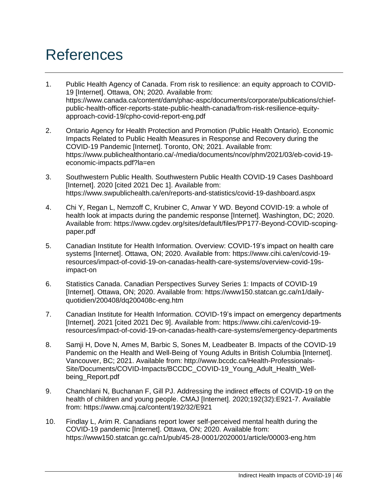# <span id="page-48-0"></span>References

- 1. Public Health Agency of Canada. From risk to resilience: an equity approach to COVID-19 [Internet]. Ottawa, ON; 2020. Available from: https://www.canada.ca/content/dam/phac-aspc/documents/corporate/publications/chiefpublic-health-officer-reports-state-public-health-canada/from-risk-resilience-equityapproach-covid-19/cpho-covid-report-eng.pdf
- 2. Ontario Agency for Health Protection and Promotion (Public Health Ontario). Economic Impacts Related to Public Health Measures in Response and Recovery during the COVID-19 Pandemic [Internet]. Toronto, ON; 2021. Available from: https://www.publichealthontario.ca/-/media/documents/ncov/phm/2021/03/eb-covid-19 economic-impacts.pdf?la=en
- 3. Southwestern Public Health. Southwestern Public Health COVID-19 Cases Dashboard [Internet]. 2020 [cited 2021 Dec 1]. Available from: https://www.swpublichealth.ca/en/reports-and-statistics/covid-19-dashboard.aspx
- 4. Chi Y, Regan L, Nemzoff C, Krubiner C, Anwar Y WD. Beyond COVID-19: a whole of health look at impacts during the pandemic response [Internet]. Washington, DC; 2020. Available from: https://www.cgdev.org/sites/default/files/PP177-Beyond-COVID-scopingpaper.pdf
- 5. Canadian Institute for Health Information. Overview: COVID-19's impact on health care systems [Internet]. Ottawa, ON; 2020. Available from: https://www.cihi.ca/en/covid-19 resources/impact-of-covid-19-on-canadas-health-care-systems/overview-covid-19simpact-on
- 6. Statistics Canada. Canadian Perspectives Survey Series 1: Impacts of COVID-19 [Internet]. Ottawa, ON; 2020. Available from: https://www150.statcan.gc.ca/n1/dailyquotidien/200408/dq200408c-eng.htm
- 7. Canadian Institute for Health Information. COVID-19's impact on emergency departments [Internet]. 2021 [cited 2021 Dec 9]. Available from: https://www.cihi.ca/en/covid-19 resources/impact-of-covid-19-on-canadas-health-care-systems/emergency-departments
- 8. Samji H, Dove N, Ames M, Barbic S, Sones M, Leadbeater B. Impacts of the COVID-19 Pandemic on the Health and Well-Being of Young Adults in British Columbia [Internet]. Vancouver, BC; 2021. Available from: http://www.bccdc.ca/Health-Professionals-Site/Documents/COVID-Impacts/BCCDC\_COVID-19\_Young\_Adult\_Health\_Wellbeing Report.pdf
- 9. Chanchlani N, Buchanan F, Gill PJ. Addressing the indirect effects of COVID-19 on the health of children and young people. CMAJ [Internet]. 2020;192(32):E921-7. Available from: https://www.cmaj.ca/content/192/32/E921
- 10. Findlay L, Arim R. Canadians report lower self-perceived mental health during the COVID-19 pandemic [Internet]. Ottawa, ON; 2020. Available from: https://www150.statcan.gc.ca/n1/pub/45-28-0001/2020001/article/00003-eng.htm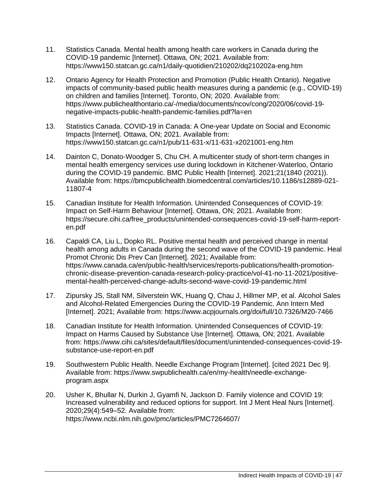- 11. Statistics Canada. Mental health among health care workers in Canada during the COVID-19 pandemic [Internet]. Ottawa, ON; 2021. Available from: https://www150.statcan.gc.ca/n1/daily-quotidien/210202/dq210202a-eng.htm
- 12. Ontario Agency for Health Protection and Promotion (Public Health Ontario). Negative impacts of community-based public health measures during a pandemic (e.g., COVID-19) on children and families [Internet]. Toronto, ON; 2020. Available from: https://www.publichealthontario.ca/-/media/documents/ncov/cong/2020/06/covid-19 negative-impacts-public-health-pandemic-families.pdf?la=en
- 13. Statistics Canada. COVID-19 in Canada: A One-year Update on Social and Economic Impacts [Internet]. Ottawa, ON; 2021. Available from: https://www150.statcan.gc.ca/n1/pub/11-631-x/11-631-x2021001-eng.htm
- 14. Dainton C, Donato-Woodger S, Chu CH. A multicenter study of short-term changes in mental health emergency services use during lockdown in Kitchener-Waterloo, Ontario during the COVID-19 pandemic. BMC Public Health [Internet]. 2021;21(1840 (2021)). Available from: https://bmcpublichealth.biomedcentral.com/articles/10.1186/s12889-021- 11807-4
- 15. Canadian Institute for Health Information. Unintended Consequences of COVID-19: Impact on Self-Harm Behaviour [Internet]. Ottawa, ON; 2021. Available from: https://secure.cihi.ca/free\_products/unintended-consequences-covid-19-self-harm-reporten.pdf
- 16. Capaldi CA, Liu L, Dopko RL. Positive mental health and perceived change in mental health among adults in Canada during the second wave of the COVID-19 pandemic. Heal Promot Chronic Dis Prev Can [Internet]. 2021; Available from: https://www.canada.ca/en/public-health/services/reports-publications/health-promotionchronic-disease-prevention-canada-research-policy-practice/vol-41-no-11-2021/positivemental-health-perceived-change-adults-second-wave-covid-19-pandemic.html
- 17. Zipursky JS, Stall NM, Silverstein WK, Huang Q, Chau J, Hillmer MP, et al. Alcohol Sales and Alcohol-Related Emergencies During the COVID-19 Pandemic. Ann Intern Med [Internet]. 2021; Available from: https://www.acpjournals.org/doi/full/10.7326/M20-7466
- 18. Canadian Institute for Health Information. Unintended Consequences of COVID-19: Impact on Harms Caused by Substance Use [Internet]. Ottawa, ON; 2021. Available from: https://www.cihi.ca/sites/default/files/document/unintended-consequences-covid-19 substance-use-report-en.pdf
- 19. Southwestern Public Health. Needle Exchange Program [Internet]. [cited 2021 Dec 9]. Available from: https://www.swpublichealth.ca/en/my-health/needle-exchangeprogram.aspx
- 20. Usher K, Bhullar N, Durkin J, Gyamfi N, Jackson D. Family violence and COVID 19: Increased vulnerability and reduced options for support. Int J Ment Heal Nurs [Internet]. 2020;29(4):549–52. Available from: https://www.ncbi.nlm.nih.gov/pmc/articles/PMC7264607/